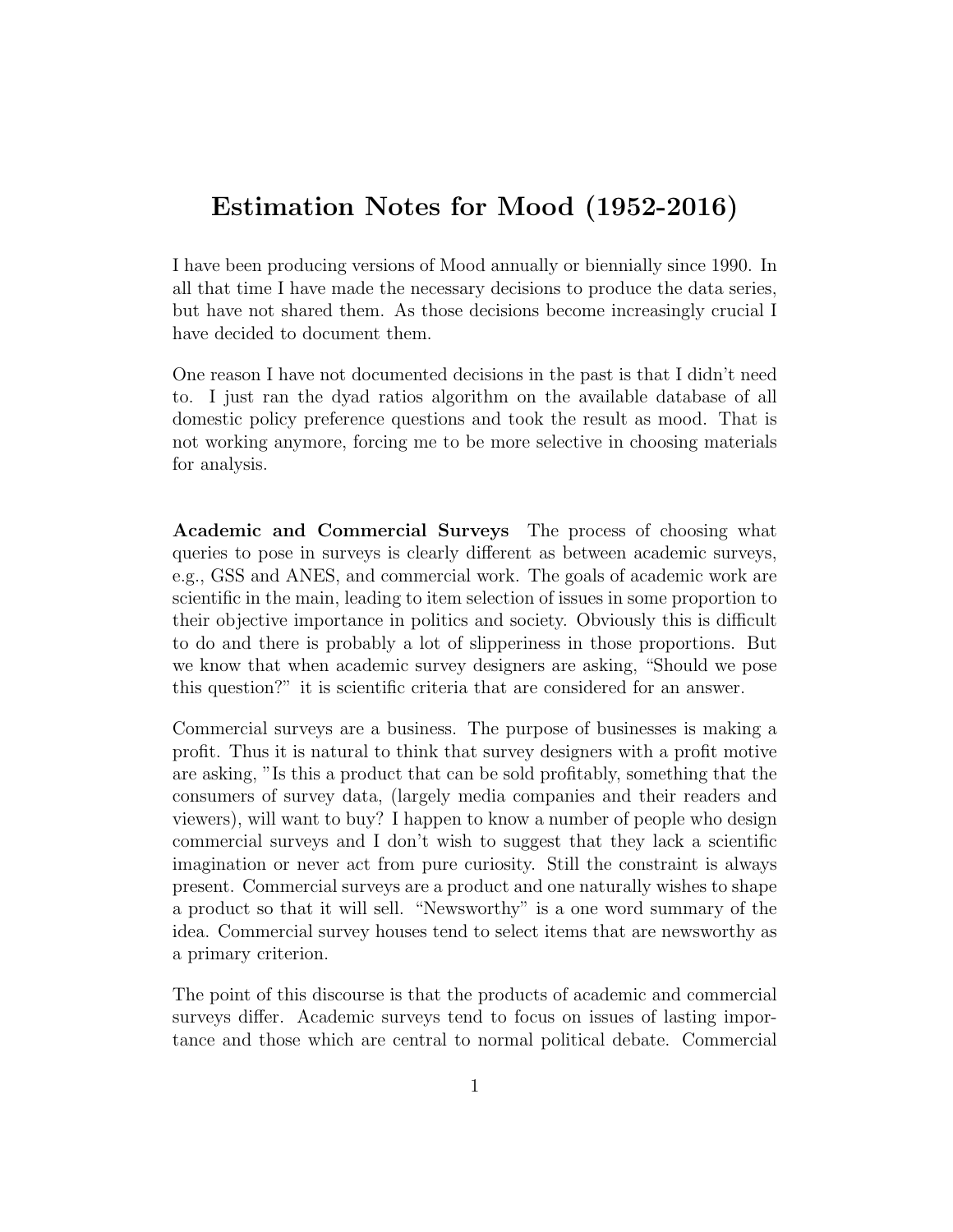## Estimation Notes for Mood (1952-2016)

I have been producing versions of Mood annually or biennially since 1990. In all that time I have made the necessary decisions to produce the data series, but have not shared them. As those decisions become increasingly crucial I have decided to document them.

One reason I have not documented decisions in the past is that I didn't need to. I just ran the dyad ratios algorithm on the available database of all domestic policy preference questions and took the result as mood. That is not working anymore, forcing me to be more selective in choosing materials for analysis.

Academic and Commercial Surveys The process of choosing what queries to pose in surveys is clearly different as between academic surveys, e.g., GSS and ANES, and commercial work. The goals of academic work are scientific in the main, leading to item selection of issues in some proportion to their objective importance in politics and society. Obviously this is difficult to do and there is probably a lot of slipperiness in those proportions. But we know that when academic survey designers are asking, "Should we pose this question?" it is scientific criteria that are considered for an answer.

Commercial surveys are a business. The purpose of businesses is making a profit. Thus it is natural to think that survey designers with a profit motive are asking, "Is this a product that can be sold profitably, something that the consumers of survey data, (largely media companies and their readers and viewers), will want to buy? I happen to know a number of people who design commercial surveys and I don't wish to suggest that they lack a scientific imagination or never act from pure curiosity. Still the constraint is always present. Commercial surveys are a product and one naturally wishes to shape a product so that it will sell. "Newsworthy" is a one word summary of the idea. Commercial survey houses tend to select items that are newsworthy as a primary criterion.

The point of this discourse is that the products of academic and commercial surveys differ. Academic surveys tend to focus on issues of lasting importance and those which are central to normal political debate. Commercial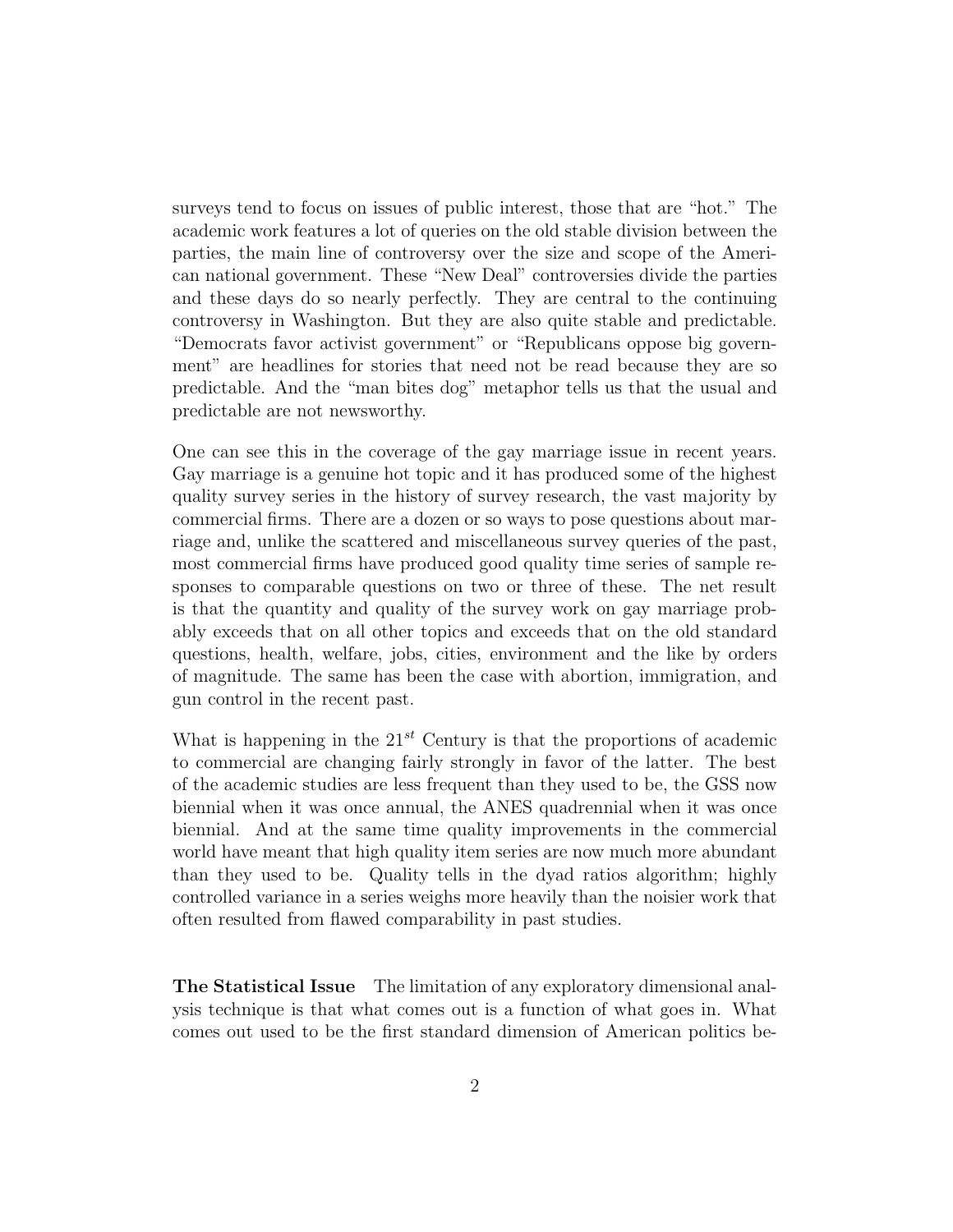surveys tend to focus on issues of public interest, those that are "hot." The academic work features a lot of queries on the old stable division between the parties, the main line of controversy over the size and scope of the American national government. These "New Deal" controversies divide the parties and these days do so nearly perfectly. They are central to the continuing controversy in Washington. But they are also quite stable and predictable. "Democrats favor activist government" or "Republicans oppose big government" are headlines for stories that need not be read because they are so predictable. And the "man bites dog" metaphor tells us that the usual and predictable are not newsworthy.

One can see this in the coverage of the gay marriage issue in recent years. Gay marriage is a genuine hot topic and it has produced some of the highest quality survey series in the history of survey research, the vast majority by commercial firms. There are a dozen or so ways to pose questions about marriage and, unlike the scattered and miscellaneous survey queries of the past, most commercial firms have produced good quality time series of sample responses to comparable questions on two or three of these. The net result is that the quantity and quality of the survey work on gay marriage probably exceeds that on all other topics and exceeds that on the old standard questions, health, welfare, jobs, cities, environment and the like by orders of magnitude. The same has been the case with abortion, immigration, and gun control in the recent past.

What is happening in the  $21^{st}$  Century is that the proportions of academic to commercial are changing fairly strongly in favor of the latter. The best of the academic studies are less frequent than they used to be, the GSS now biennial when it was once annual, the ANES quadrennial when it was once biennial. And at the same time quality improvements in the commercial world have meant that high quality item series are now much more abundant than they used to be. Quality tells in the dyad ratios algorithm; highly controlled variance in a series weighs more heavily than the noisier work that often resulted from flawed comparability in past studies.

The Statistical Issue The limitation of any exploratory dimensional analysis technique is that what comes out is a function of what goes in. What comes out used to be the first standard dimension of American politics be